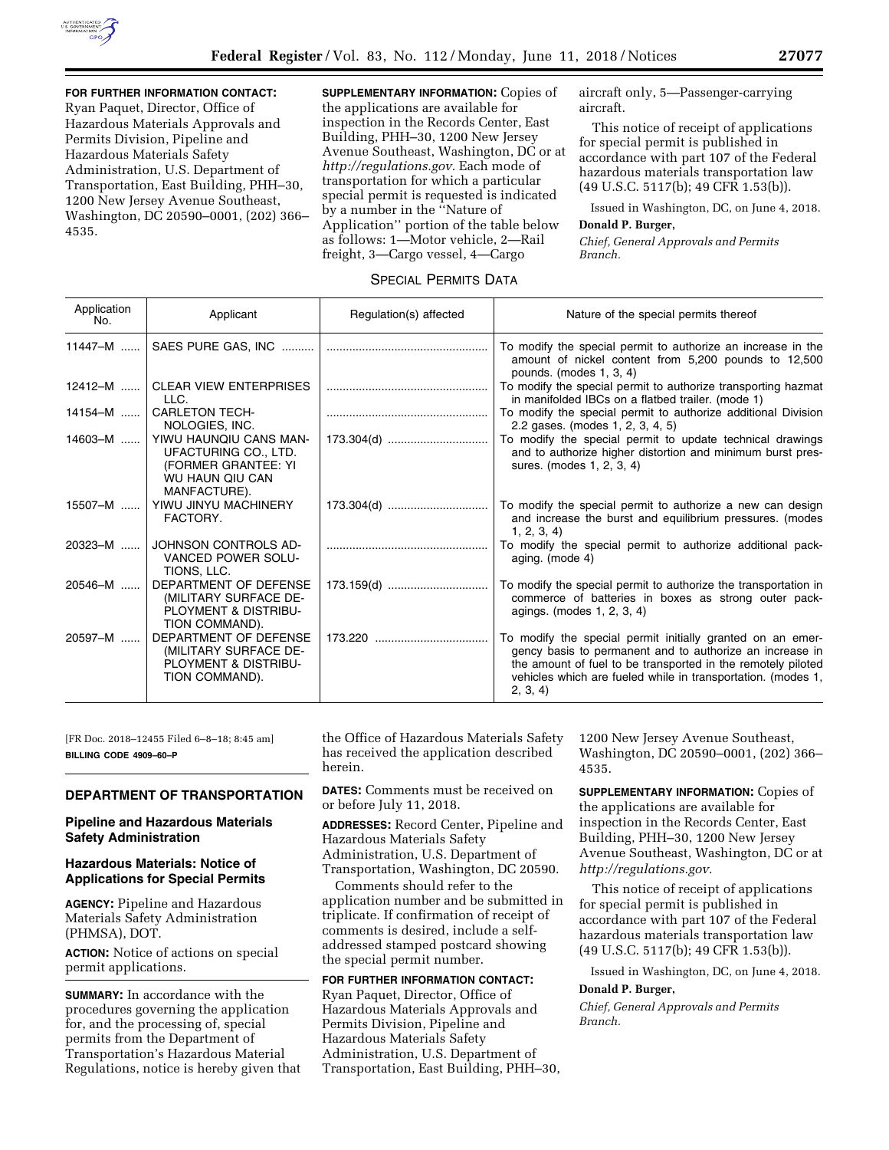

**FOR FURTHER INFORMATION CONTACT:**  Ryan Paquet, Director, Office of Hazardous Materials Approvals and Permits Division, Pipeline and Hazardous Materials Safety Administration, U.S. Department of Transportation, East Building, PHH–30, 1200 New Jersey Avenue Southeast, Washington, DC 20590–0001, (202) 366– 4535.

**SUPPLEMENTARY INFORMATION:** Copies of the applications are available for inspection in the Records Center, East Building, PHH–30, 1200 New Jersey Avenue Southeast, Washington, DC or at *[http://regulations.gov.](http://regulations.gov)* Each mode of transportation for which a particular special permit is requested is indicated by a number in the ''Nature of Application'' portion of the table below as follows: 1—Motor vehicle, 2—Rail freight, 3—Cargo vessel, 4—Cargo

aircraft only, 5—Passenger-carrying aircraft.

This notice of receipt of applications for special permit is published in accordance with part 107 of the Federal hazardous materials transportation law (49 U.S.C. 5117(b); 49 CFR 1.53(b)).

Issued in Washington, DC, on June 4, 2018.

#### **Donald P. Burger,**

*Chief, General Approvals and Permits Branch.* 

# SPECIAL PERMITS DATA

| Application<br>No. | Applicant                                                                                                | Regulation(s) affected | Nature of the special permits thereof                                                                                                                                                                                                                             |
|--------------------|----------------------------------------------------------------------------------------------------------|------------------------|-------------------------------------------------------------------------------------------------------------------------------------------------------------------------------------------------------------------------------------------------------------------|
| 11447-M            |                                                                                                          |                        | To modify the special permit to authorize an increase in the<br>amount of nickel content from 5,200 pounds to 12,500<br>pounds. (modes 1, 3, 4)                                                                                                                   |
| $12412 - M$        | <b>CLEAR VIEW ENTERPRISES</b><br>LLC.                                                                    |                        | To modify the special permit to authorize transporting hazmat<br>in manifolded IBCs on a flatbed trailer. (mode 1)                                                                                                                                                |
| 14154-M            | <b>CARLETON TECH-</b><br>NOLOGIES, INC.                                                                  |                        | To modify the special permit to authorize additional Division<br>2.2 gases. (modes 1, 2, 3, 4, 5)                                                                                                                                                                 |
| 14603-M            | YIWU HAUNQIU CANS MAN-<br>UFACTURING CO., LTD.<br>(FORMER GRANTEE: YI<br>WU HAUN QIU CAN<br>MANFACTURE). | 173.304(d)             | To modify the special permit to update technical drawings<br>and to authorize higher distortion and minimum burst pres-<br>sures. (modes 1, 2, 3, 4)                                                                                                              |
| 15507-M            | YIWU JINYU MACHINERY<br>FACTORY.                                                                         | 173.304(d)             | To modify the special permit to authorize a new can design<br>and increase the burst and equilibrium pressures. (modes<br>1, 2, 3, 4                                                                                                                              |
| 20323-M            | JOHNSON CONTROLS AD-<br>VANCED POWER SOLU-<br>TIONS, LLC.                                                |                        | To modify the special permit to authorize additional pack-<br>aging. (mode 4)                                                                                                                                                                                     |
| 20546-M            | DEPARTMENT OF DEFENSE<br>(MILITARY SURFACE DE-<br>PLOYMENT & DISTRIBU-<br>TION COMMAND).                 | 173.159(d)             | To modify the special permit to authorize the transportation in<br>commerce of batteries in boxes as strong outer pack-<br>agings. (modes 1, 2, 3, 4)                                                                                                             |
| 20597-M            | DEPARTMENT OF DEFENSE<br>(MILITARY SURFACE DE-<br>PLOYMENT & DISTRIBU-<br>TION COMMAND).                 |                        | To modify the special permit initially granted on an emer-<br>gency basis to permanent and to authorize an increase in<br>the amount of fuel to be transported in the remotely piloted<br>vehicles which are fueled while in transportation. (modes 1,<br>2, 3, 4 |

[FR Doc. 2018–12455 Filed 6–8–18; 8:45 am] **BILLING CODE 4909–60–P** 

#### **DEPARTMENT OF TRANSPORTATION**

### **Pipeline and Hazardous Materials Safety Administration**

### **Hazardous Materials: Notice of Applications for Special Permits**

**AGENCY:** Pipeline and Hazardous Materials Safety Administration (PHMSA), DOT.

**ACTION:** Notice of actions on special permit applications.

**SUMMARY:** In accordance with the procedures governing the application for, and the processing of, special permits from the Department of Transportation's Hazardous Material Regulations, notice is hereby given that

the Office of Hazardous Materials Safety has received the application described herein.

**DATES:** Comments must be received on or before July 11, 2018.

**ADDRESSES:** Record Center, Pipeline and Hazardous Materials Safety Administration, U.S. Department of Transportation, Washington, DC 20590.

Comments should refer to the application number and be submitted in triplicate. If confirmation of receipt of comments is desired, include a selfaddressed stamped postcard showing the special permit number.

**FOR FURTHER INFORMATION CONTACT:**  Ryan Paquet, Director, Office of Hazardous Materials Approvals and Permits Division, Pipeline and Hazardous Materials Safety Administration, U.S. Department of Transportation, East Building, PHH–30, 1200 New Jersey Avenue Southeast, Washington, DC 20590–0001, (202) 366– 4535.

**SUPPLEMENTARY INFORMATION:** Copies of the applications are available for inspection in the Records Center, East Building, PHH–30, 1200 New Jersey Avenue Southeast, Washington, DC or at *[http://regulations.gov.](http://regulations.gov)* 

This notice of receipt of applications for special permit is published in accordance with part 107 of the Federal hazardous materials transportation law (49 U.S.C. 5117(b); 49 CFR 1.53(b)).

Issued in Washington, DC, on June 4, 2018. **Donald P. Burger,** 

*Chief, General Approvals and Permits Branch.*